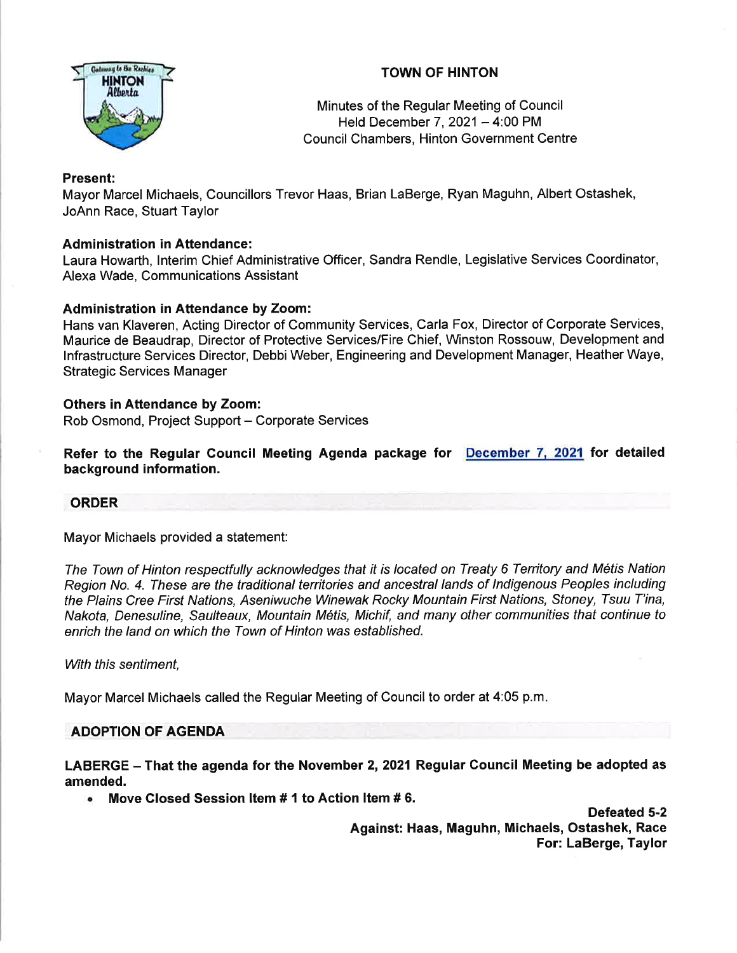



Minutes of the Regular Meeting of Council Held December 7,  $2021 - 4:00$  PM Council Chambers, Hinton Government Centre

# Present:

Mayor Marcel Michaels, Councillors Trevor Haas, Brian LaBerge, Ryan Maguhn, Albert Ostashek, JoAnn Race, Stuart Taylor

# Administration in Attendance:

Laura Howarth, lnterim Chief Administrative Officer, Sandra Rendle, Legislative Services Coordinator, Alexa Wade, Communications Assistant

# Administration in Attendance by Zoom:

Hans van Klaveren, Acting Director of Community Services, Carla Fox, Director of Corporate Services, Maurice de Beaudrap, Director of Protective Services/Fire Chief, Winston Rossouw, Development and lnfrastructure Services Director, Debbi Weber, Engineering and Development Manager, Heather Waye, Strategic Services Manager

# Others in Attendance by Zoom:

Rob Osmond, Project Support - Corporate Services

Refer to the Regular Gouncil Meeting Agenda package for December 7. 2021 for detailed background information.

# ORDER

Mayor Michaels provided a statement:

The Town of Hinton respectfully acknowledges that it is located on Treaty 6 Territory and Métis Nation Region No. 4. Ihese are the traditional territories and ancestral lands of lndigenous Peoples including the Plains Cree First Nations, Aseniwuche Winewak Rocky Mountain First Nations, Stoney, Tsuu T'ina, Nakota, Denesuline, Saulteaux, Mountain M6tis, Michif, and many other communities that continue to enrich the land on which the Town of Hinton was established.

With this sentiment,

Mayor Marcel Michaels called the Regular Meeting of Council to order at 4:05 p.m.

# ADOPTION OF AGENDA

LABERGE - That the agenda for the November 2, 2021 Regular Council Meeting be adopted as amended.

. Move Glosed Session ltem # 1 to Action ltem # 6.

Defeated S-2 Against: Haas, Maguhn, Michaels, Ostashek, Race For: LaBerge, Taylor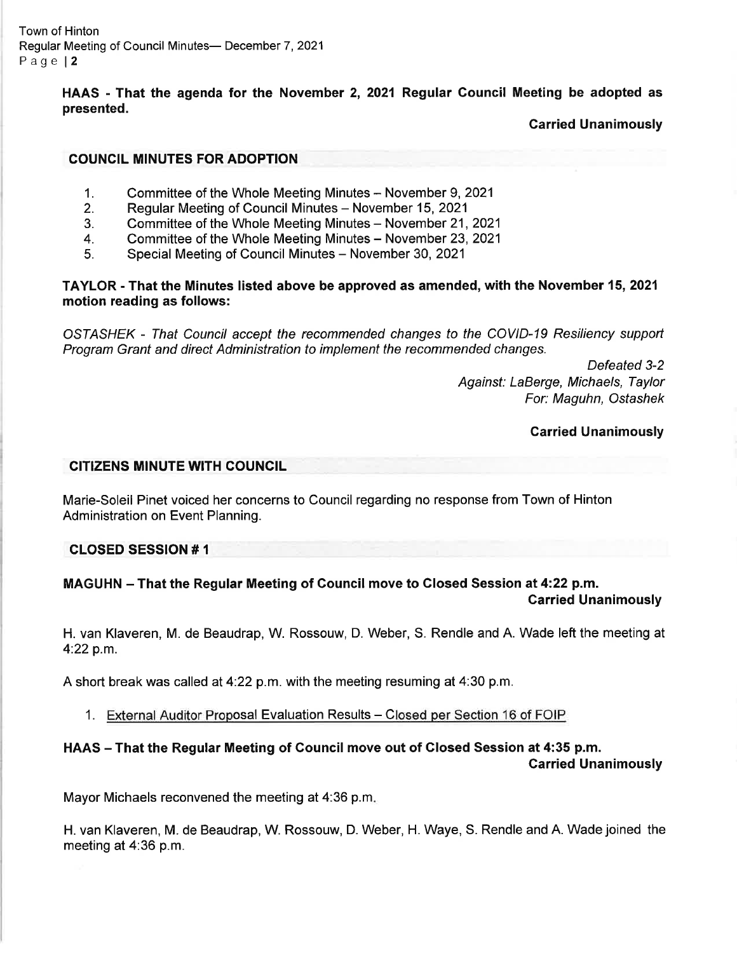HAAS - That the agenda for the November 2, 2021 Regular Council Meeting be adopted as presented.

Garried Unanimously

## COUNGIL MINUTES FOR ADOPTION

- Committee of the Whole Meeting Minutes November 9, 2021 1.
- Regular Meeting of Council Minutes November 15, 2021 2.
- Committee of the Whole Meeting Minutes November 21, 2021 3.
- Committee of the Whole Meeting Minutes November 23, 2021 4.
- Special Meeting of Council Minutes November 30, 2021 5.

## TAYLOR - That the Minutes listed above be approved as amended, with the November 15,2021 motion reading as follows:

OSIASHEK - That Council accept the recommended changes to the COVID-I9 Resiliency support Program Grant and direct Administration to implement the recommended changes.

> Defeated 3-2 Against: LaBerge, Michaels, Taylor For: Maguhn, Ostashek

## Carried Unanimously

## CITIZENS MINUTE WITH COUNCIL

Marie-Soleil Pinet voiced her concerns to Council regarding no response from Town of Hinton Administration on Event Planning.

CLOSED SESSION # <sup>1</sup>

#### MAGUHN - That the Regular Meeting of Council move to Closed Session at 4:22 p.m. Garried Unanimously

H. van Klaveren, M. de Beaudrap, W. Rossouw, D. Weber, S. Rendle and A. Wade left the meeting at 4:22 p.m.

A short break was called at 4:22 p.m. with the meeting resuming at 4.30 p.m.

1. External Auditor Proposal Evaluation Results - Closed per Section 16 of FOIP

# HAAS - That the Regular Meeting of Council move out of Closed Session at 4:35 p.m.

Carried Unanimously

Mayor Michaels reconvened the meeting at 4:36 p.m

H. van Klaveren, M. de Beaudrap, W. Rossouw, D. Weber, H. Waye, S. Rendle and A. Wade joined the meeting at 4:36 p.m.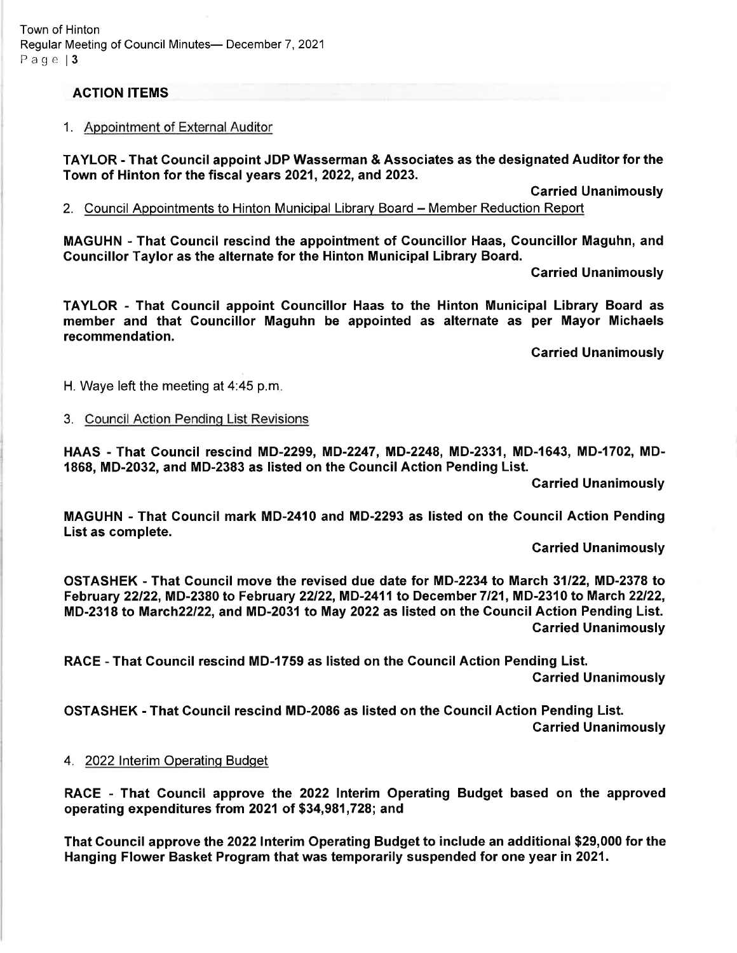Town of Hinton Regular Meeting of Council Minutes- December 7, 2021 Page  $|3$ 

## ACTION ITEMS

#### 1. Appointment of External Auditor

TAYLOR - That Council appoint JDP Wasserman & Associates as the designated Auditor for the Town of Hinton for the fiscal years 2021, 2022, and 2023.

Garried Unanimously

2. Council Appointments to Hinton Municipal Library Board – Member Reduction Report

MAGUHN - That Council rescind the appointment of Councillor Haas, Councillor Maguhn, and Councillor Taylor as the alternate for the Hinton Municipal Library Board.

Carried Unanimously

TAYLOR - That Gouncil appoint Councillor Haas to the Hinton Municipal Library Board as member and that Councillor Maguhn be appointed as alternate as per Mayor Michaels recommendation.

Garried Unanimously

H. Waye left the meeting at 4:45 p.m

3. Council Action Pendinq List Revisions

HAAS-That Council rescind MD-2299, MD-2247, MD-2248, MD-2331, MD-1643, MD-1702, MD-1868, MD-2032, and MD-2383 as listed on the Council Action Pending List.

**Carried Unanimously** 

MAGUHN - That Council mark MD-2410 and MD-2293 as listed on the Council Action Pending List as complete.

Carried Unanimously

OSTASHEK - That Gouncil move the revised due date for MD-2234 to March 31122, MD-2378 to February 22/22, MD-2380 to February 22/22, MD-2411 to December 7/21, MD-2310 to March 22/22, MD-2318 to March22l22, and MD-2031 to May 2022 as listed on the Gouncil Action Pending List. Carried Unanimously

RACE - That Gouncil rescind MD-1759 as listed on the Council Action Pending List. Carried Unanimously

OSTASHEK - That Council rescind MD-2086 as listed on the Council Action Pending List. Carried Unanimously

#### 4. 2022 Interim Operating Budget

RACE - That Council approve the 2022 lnterim Operating Budget based on the approved operating expenditures from 2021 of \$34,981,728; and

That Council approve the 2022Interim Operating Budget to include an additional \$29,000 for the Hanging Flower Basket Program that was temporarily suspended for one year in 2021.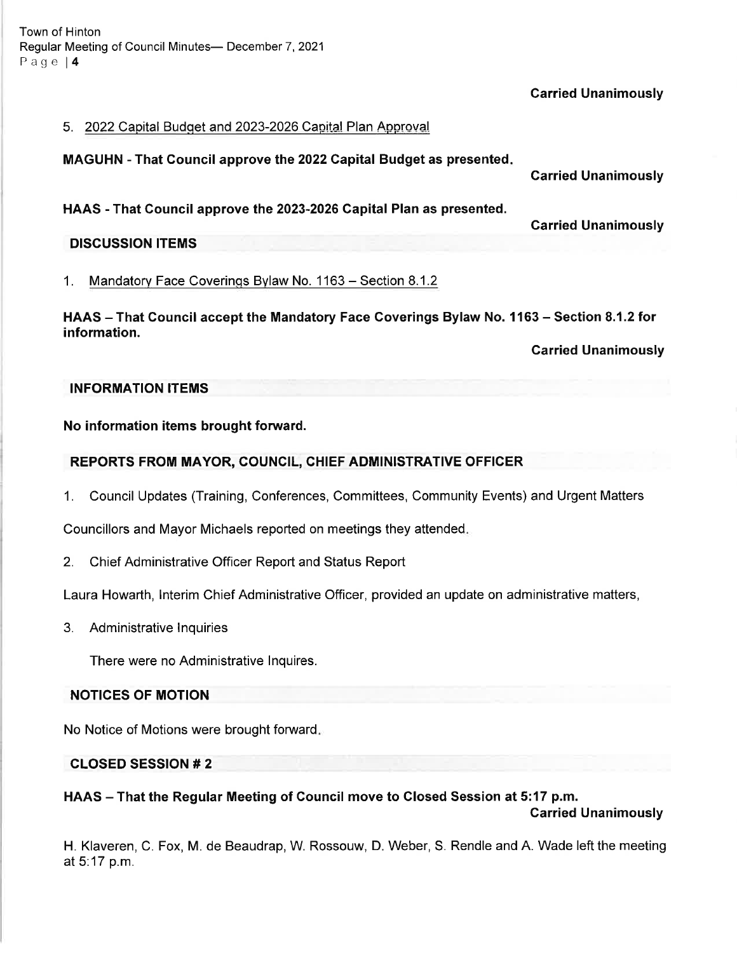Town of Hinton Regular Meeting of Council Minutes- December 7, 2021 Page l4

Carried Unanimously

#### 5. 2022 Capital Budget and 2023-2026 Capital Plan Approval

MAGUHN - That Gouncil approve the 2022 Capital Budget as presented

HAAS - That Council approve the 2023-2026 Capital Plan as presented.

Garried Unanimously

Carried Unanimously

## DISCUSSION ITEMS

1. Mandatorv Face Coverinqs Bvlaw No. 1 <sup>163</sup>- Section 8.1.2

HAAS - That Council accept the Mandatory Face Coverings Bylaw No. 1163 - Section 8.1.2 for information.

Carried Unanimously

#### INFORMATION ITEMS

#### No information items brought forward.

#### REPORTS FROM MAYOR, COUNCIL, GHIEF ADMINISTRATIVE OFFICER

1. Council Updates (Training, Conferences, Committees, Community Events) and Urgent Matters

Councillors and Mayor Michaels reported on meetings they attended

2. Chief Administrative Officer Report and Status Report

Laura Howarth, lnterim Chief Administrative Officer, provided an update on administrative matters,

3. Administrative lnquiries

There were no Administrative lnquires.

## NOTICES OF MOTION

No Notice of Motions were brought forward

## CLOSED SESSION # 2

HAAS - That the Regular Meeting of Council move to Closed Session at 5:17 p.m.

Garried Unanimously

H. Klaveren, C. Fox, M. de Beaudrap, W. Rossouw, D. Weber, S. Rendle and A. Wade left the meeting at 5:17 p.m.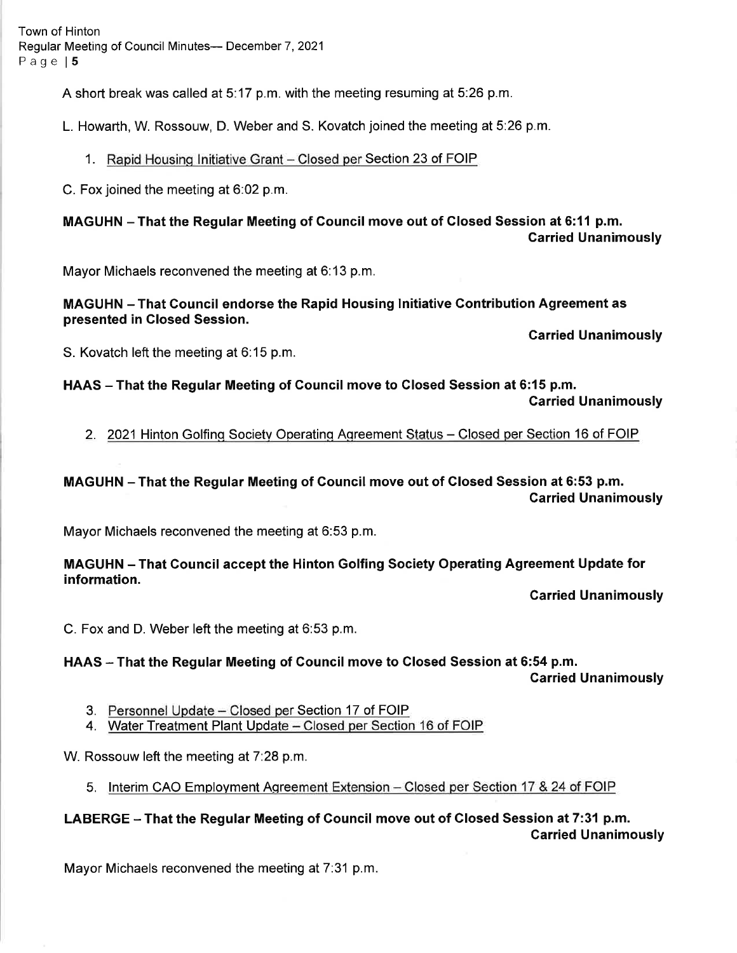Town of Hinton Regular Meeting of Council Minutes-- December 7, 2021 Page | 5

A short break was called at 5:17 p.m. with the meeting resuming at 5:26 p.m.

L. Howarth, W. Rossouw, D. Weber and S. Kovatch joined the meeting at 5:26 p.m.

1. Rapid Housing Initiative Grant - Closed per Section 23 of FOIP

C. Fox joined the meeting at 6:02 p.m.

MAGUHN-That the Regular Meeting of Council move out of Closed Session at 6:11 p.m. Carried Unanimously

Mayor Michaels reconvened the meeting at 6:13 p.m.

MAGUHN - That Council endorse the Rapid Housing lnitiative Gontribution Agreement as presented in Closed Session.

Garried Unanimously

S. Kovatch left the meeting at 6:15 p.m.

HAAS - That the Regular Meeting of Council move to Closed Session at 6:15 p.m. Garried Unanimously

2. 2021 Hinton Golfing Society Operating Agreement Status - Closed per Section 16 of FOIP

MAGUHN - That the Regular Meeting of Gouncil move out of Glosed Session at 6:53 p.m. Carried Unanimously

Mayor Michaels reconvened the meeting at 6:53 p.m.

MAGUHN - That Gouncil accept the Hinton Golfing Society Operating Agreement Update for information.

Carried Unanimously

C. Fox and D. Weber left the meeting at 6:53 p.m.

HAAS - That the Regular Meeting of Council move to Closed Session at 6:54 p.m.

Carried Unanimously

- 3. Personnel Update Closed per Section 17 of FOIP
- 4. Water Treatment Plant Update Closed per Section 16 of FOIP

W. Rossouw left the meeting at  $7:28$  p.m.

5. Interim CAO Employment Agreement Extension – Closed per Section 17 & 24 of FOIP

LABERGE - That the Regular Meeting of Council move out of Closed Session at 7:31 p.m. Garried Unanimously

Mayor Michaels reconvened the meeting at 7:31 p.m